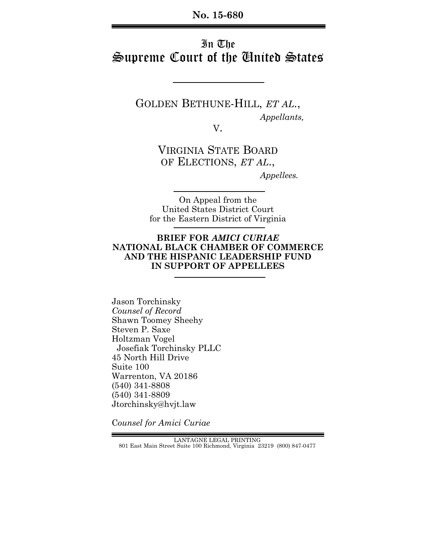# In The Supreme Court of the Cinited States

GOLDEN BETHUNE-HILL, *ET AL*.,  *Appellants,*

V.

VIRGINIA STATE BOARD OF ELECTIONS, *ET AL*.,

 *Appellees.*

On Appeal from the United States District Court for the Eastern District of Virginia

#### **BRIEF FOR** *AMICI CURIAE* **NATIONAL BLACK CHAMBER OF COMMERCE AND THE HISPANIC LEADERSHIP FUND IN SUPPORT OF APPELLEES**

Jason Torchinsky *Counsel of Record* Shawn Toomey Sheehy Steven P. Saxe Holtzman Vogel Josefiak Torchinsky PLLC 45 North Hill Drive Suite 100 Warrenton, VA 20186 (540) 341-8808 (540) 341-8809 Jtorchinsky@hvjt.law

C*ounsel for Amici Curiae*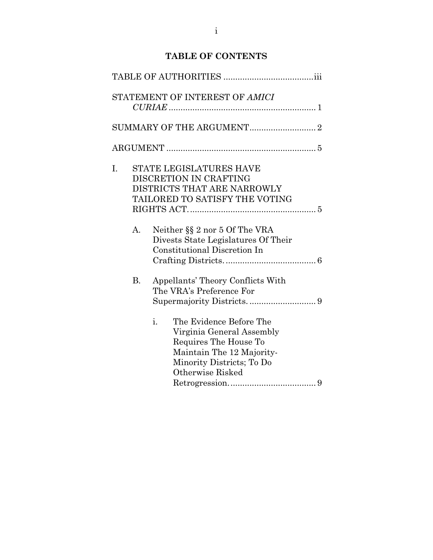# **TABLE OF CONTENTS**

|    |    | STATEMENT OF INTEREST OF AMICI                                                                                                                                    |  |
|----|----|-------------------------------------------------------------------------------------------------------------------------------------------------------------------|--|
|    |    |                                                                                                                                                                   |  |
|    |    |                                                                                                                                                                   |  |
| I. |    | <b>STATE LEGISLATURES HAVE</b><br>DISCRETION IN CRAFTING<br>DISTRICTS THAT ARE NARROWLY<br>TAILORED TO SATISFY THE VOTING                                         |  |
|    | A. | Neither §§ 2 nor 5 Of The VRA<br>Divests State Legislatures Of Their<br>Constitutional Discretion In                                                              |  |
|    | B. | Appellants' Theory Conflicts With<br>The VRA's Preference For                                                                                                     |  |
|    |    | i.<br>The Evidence Before The<br>Virginia General Assembly<br>Requires The House To<br>Maintain The 12 Majority-<br>Minority Districts; To Do<br>Otherwise Risked |  |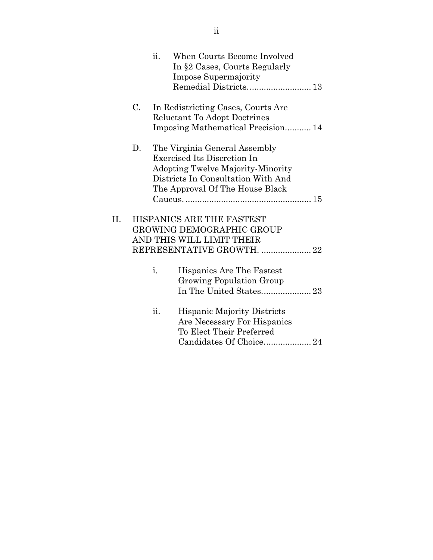|     |    | ii. | When Courts Become Involved                                                                                     |
|-----|----|-----|-----------------------------------------------------------------------------------------------------------------|
|     |    |     | In §2 Cases, Courts Regularly                                                                                   |
|     |    |     | <b>Impose Supermajority</b>                                                                                     |
|     |    |     |                                                                                                                 |
|     | C. |     | In Redistricting Cases, Courts Are<br>Reluctant To Adopt Doctrines                                              |
|     |    |     | Imposing Mathematical Precision 14                                                                              |
|     | D. |     | The Virginia General Assembly<br><b>Exercised Its Discretion In</b><br><b>Adopting Twelve Majority-Minority</b> |
|     |    |     | Districts In Consultation With And                                                                              |
|     |    |     | The Approval Of The House Black                                                                                 |
|     |    |     |                                                                                                                 |
|     |    |     |                                                                                                                 |
| II. |    |     | HISPANICS ARE THE FASTEST                                                                                       |
|     |    |     | GROWING DEMOGRAPHIC GROUP                                                                                       |
|     |    |     | AND THIS WILL LIMIT THEIR                                                                                       |
|     |    |     | REPRESENTATIVE GROWTH.  22                                                                                      |
|     |    | i.  | Hispanics Are The Fastest<br>Growing Population Group                                                           |
|     |    | ii. | <b>Hispanic Majority Districts</b><br>Are Necessary For Hispanics<br>To Elect Their Preferred                   |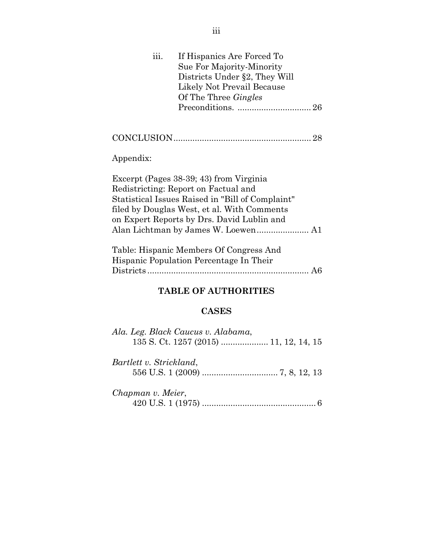| iii.      | If Hispanics Are Forced To                       |  |
|-----------|--------------------------------------------------|--|
|           | Sue For Majority-Minority                        |  |
|           | Districts Under §2, They Will                    |  |
|           | Likely Not Prevail Because                       |  |
|           | Of The Three <i>Gingles</i>                      |  |
|           |                                                  |  |
|           |                                                  |  |
|           |                                                  |  |
|           |                                                  |  |
|           |                                                  |  |
| Appendix: |                                                  |  |
|           |                                                  |  |
|           | Excerpt (Pages 38-39; 43) from Virginia          |  |
|           | Redistricting: Report on Factual and             |  |
|           | Statistical Issues Raised in "Bill of Complaint" |  |
|           | filed by Douglas West, et al. With Comments      |  |
|           |                                                  |  |
|           | on Expert Reports by Drs. David Lublin and       |  |
|           |                                                  |  |
|           |                                                  |  |
|           | Table: Hispanic Members Of Congress And          |  |
|           | Hispanic Population Percentage In Their          |  |
|           |                                                  |  |
|           |                                                  |  |
|           | <b>TABLE OF AUTHORITIES</b>                      |  |
|           |                                                  |  |

## **CASES**

| Ala. Leg. Black Caucus v. Alabama, |
|------------------------------------|
|                                    |
|                                    |
| Bartlett v. Strickland,            |
|                                    |
|                                    |
| Chapman v. Meier,                  |
|                                    |
|                                    |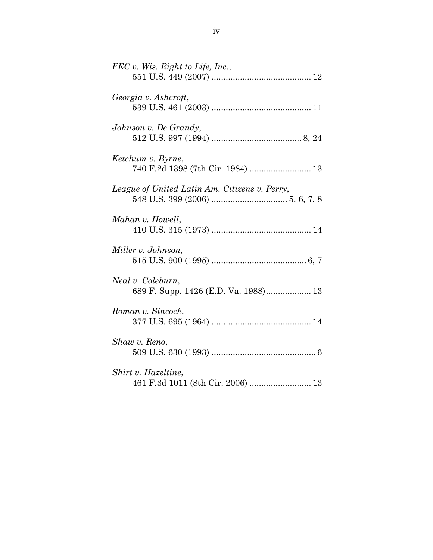| FEC v. Wis. Right to Life, Inc.,                          |
|-----------------------------------------------------------|
| Georgia v. Ashcroft,                                      |
| Johnson v. De Grandy,                                     |
| Ketchum v. Byrne,                                         |
| League of United Latin Am. Citizens v. Perry,             |
| Mahan v. Howell,                                          |
| Miller v. Johnson,                                        |
| Neal v. Coleburn,<br>689 F. Supp. 1426 (E.D. Va. 1988) 13 |
| Roman v. Sincock,                                         |
| Shaw v. Reno,                                             |
| Shirt v. Hazeltine,<br>461 F.3d 1011 (8th Cir. 2006)  13  |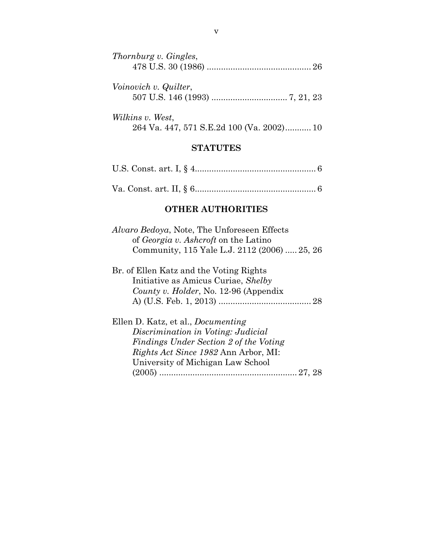| Thornburg v. Gingles,                     |  |
|-------------------------------------------|--|
|                                           |  |
|                                           |  |
| Voinovich v. Quilter,                     |  |
|                                           |  |
|                                           |  |
| Wilkins v. West,                          |  |
| 264 Va. 447, 571 S.E.2d 100 (Va. 2002) 10 |  |

#### **STATUTES**

## **OTHER AUTHORITIES**

| Alvaro Bedoya, Note, The Unforeseen Effects  |  |
|----------------------------------------------|--|
| of <i>Georgia v. Ashcroft</i> on the Latino  |  |
| Community, 115 Yale L.J. 2112 (2006)  25, 26 |  |

| Br. of Ellen Katz and the Voting Rights |  |
|-----------------------------------------|--|
| Initiative as Amicus Curiae, Shelby     |  |
| County v. Holder, No. 12-96 (Appendix   |  |
|                                         |  |

| Ellen D. Katz, et al., <i>Documenting</i>   |  |
|---------------------------------------------|--|
| Discrimination in Voting: Judicial          |  |
| Findings Under Section 2 of the Voting      |  |
| <i>Rights Act Since 1982</i> Ann Arbor, MI: |  |
| University of Michigan Law School           |  |
|                                             |  |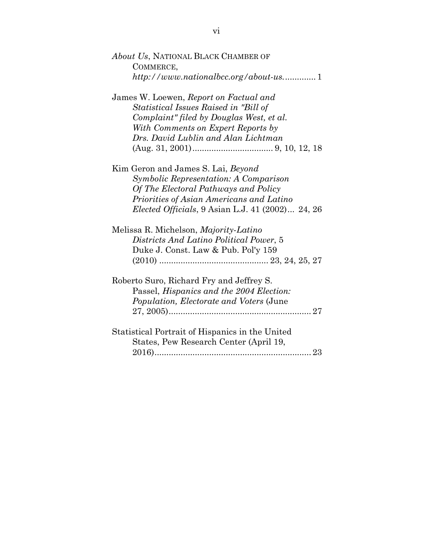*About Us*, NATIONAL BLACK CHAMBER OF COMMERCE, *http://www.nationalbcc.org/about-us.* ............. 1

James W. Loewen, *Report on Factual and Statistical Issues Raised in "Bill of Complaint" filed by Douglas West, et al. With Comments on Expert Reports by Drs. David Lublin and Alan Lichtman*  (Aug. 31, 2001) .................................. 9, 10, 12, 18

Kim Geron and James S. Lai, *Beyond Symbolic Representation: A Comparison Of The Electoral Pathways and Policy Priorities of Asian Americans and Latino Elected Officials*, 9 Asian L.J. 41 (2002) ... 24, 26

| Melissa R. Michelson, <i>Majority-Latino</i> |  |
|----------------------------------------------|--|
| Districts And Latino Political Power, 5      |  |
| Duke J. Const. Law & Pub. Pol'y 159          |  |
|                                              |  |

| Roberto Suro, Richard Fry and Jeffrey S.         |  |
|--------------------------------------------------|--|
| Passel, Hispanics and the 2004 Election:         |  |
| <i>Population, Electorate and Voters (June</i> ) |  |
|                                                  |  |
|                                                  |  |

| Statistical Portrait of Hispanics in the United |  |
|-------------------------------------------------|--|
| States, Pew Research Center (April 19,          |  |
|                                                 |  |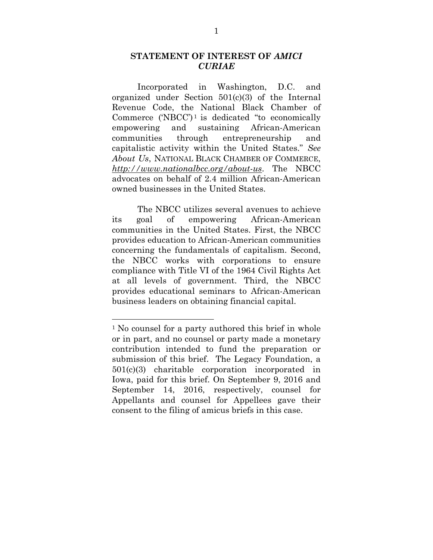## **STATEMENT OF INTEREST OF** *AMICI CURIAE*

Incorporated in Washington, D.C. and organized under Section 501(c)(3) of the Internal Revenue Code, the National Black Chamber of Commerce  $(NBCC)^1$  is dedicated "to economically empowering and sustaining African-American communities through entrepreneurship and capitalistic activity within the United States." *See About Us*, NATIONAL BLACK CHAMBER OF COMMERCE, *http://www.nationalbcc.org/about-us*. The NBCC advocates on behalf of 2.4 million African-American owned businesses in the United States.

The NBCC utilizes several avenues to achieve its goal of empowering African-American communities in the United States. First, the NBCC provides education to African-American communities concerning the fundamentals of capitalism. Second, the NBCC works with corporations to ensure compliance with Title VI of the 1964 Civil Rights Act at all levels of government. Third, the NBCC provides educational seminars to African-American business leaders on obtaining financial capital.

 

<sup>&</sup>lt;sup>1</sup> No counsel for a party authored this brief in whole or in part, and no counsel or party made a monetary contribution intended to fund the preparation or submission of this brief. The Legacy Foundation, a 501(c)(3) charitable corporation incorporated in Iowa, paid for this brief. On September 9, 2016 and September 14, 2016, respectively, counsel for Appellants and counsel for Appellees gave their consent to the filing of amicus briefs in this case.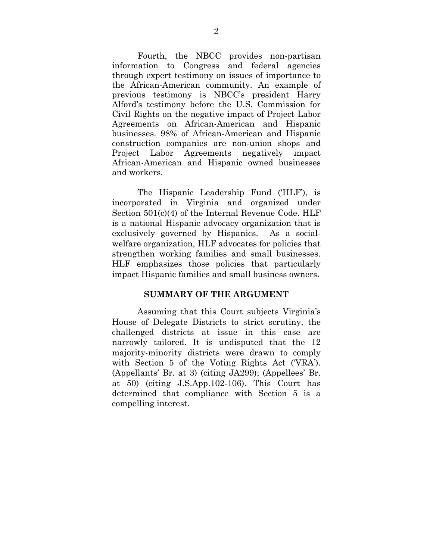Fourth, the NBCC provides non-partisan information to Congress and federal agencies through expert testimony on issues of importance to the African-American community. An example of previous testimony is NBCC's president Harry Alford's testimony before the U.S. Commission for Civil Rights on the negative impact of Project Labor Agreements on African-American and Hispanic businesses. 98% of African-American and Hispanic construction companies are non-union shops and Project Labor Agreements negatively impact African-American and Hispanic owned businesses and workers.

The Hispanic Leadership Fund ('HLF'), is incorporated in Virginia and organized under Section 501(c)(4) of the Internal Revenue Code. HLF is a national Hispanic advocacy organization that is exclusively governed by Hispanics. As a socialwelfare organization, HLF advocates for policies that strengthen working families and small businesses. HLF emphasizes those policies that particularly impact Hispanic families and small business owners.

#### **SUMMARY OF THE ARGUMENT**

Assuming that this Court subjects Virginia's House of Delegate Districts to strict scrutiny, the challenged districts at issue in this case are narrowly tailored. It is undisputed that the 12 majority-minority districts were drawn to comply with Section 5 of the Voting Rights Act ('VRA'). (Appellants' Br. at 3) (citing JA299); (Appellees' Br. at 50) (citing J.S.App.102-106). This Court has determined that compliance with Section 5 is a compelling interest.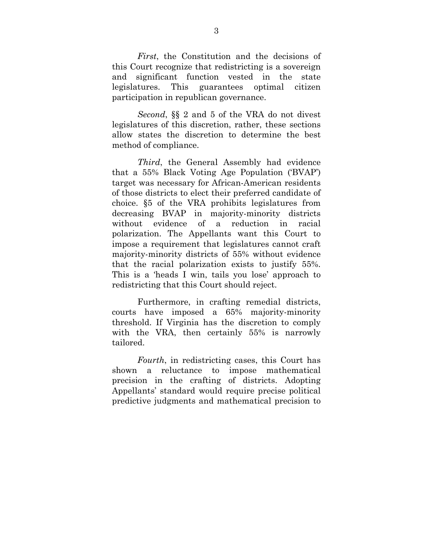*First*, the Constitution and the decisions of this Court recognize that redistricting is a sovereign and significant function vested in the state legislatures. This guarantees optimal citizen participation in republican governance.

*Second*, §§ 2 and 5 of the VRA do not divest legislatures of this discretion, rather, these sections allow states the discretion to determine the best method of compliance.

*Third*, the General Assembly had evidence that a 55% Black Voting Age Population ('BVAP') target was necessary for African-American residents of those districts to elect their preferred candidate of choice. §5 of the VRA prohibits legislatures from decreasing BVAP in majority-minority districts without evidence of a reduction in racial polarization. The Appellants want this Court to impose a requirement that legislatures cannot craft majority-minority districts of 55% without evidence that the racial polarization exists to justify 55%. This is a 'heads I win, tails you lose' approach to redistricting that this Court should reject.

Furthermore, in crafting remedial districts, courts have imposed a 65% majority-minority threshold. If Virginia has the discretion to comply with the VRA, then certainly 55% is narrowly tailored.

*Fourth*, in redistricting cases, this Court has shown a reluctance to impose mathematical precision in the crafting of districts. Adopting Appellants' standard would require precise political predictive judgments and mathematical precision to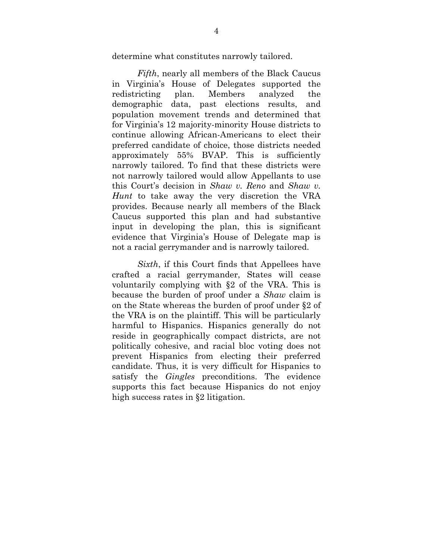determine what constitutes narrowly tailored.

*Fifth*, nearly all members of the Black Caucus in Virginia's House of Delegates supported the redistricting plan. Members analyzed the demographic data, past elections results, and population movement trends and determined that for Virginia's 12 majority-minority House districts to continue allowing African-Americans to elect their preferred candidate of choice, those districts needed approximately 55% BVAP. This is sufficiently narrowly tailored. To find that these districts were not narrowly tailored would allow Appellants to use this Court's decision in *Shaw v. Reno* and *Shaw v. Hunt* to take away the very discretion the VRA provides. Because nearly all members of the Black Caucus supported this plan and had substantive input in developing the plan, this is significant evidence that Virginia's House of Delegate map is not a racial gerrymander and is narrowly tailored.

*Sixth*, if this Court finds that Appellees have crafted a racial gerrymander, States will cease voluntarily complying with §2 of the VRA. This is because the burden of proof under a *Shaw* claim is on the State whereas the burden of proof under §2 of the VRA is on the plaintiff. This will be particularly harmful to Hispanics. Hispanics generally do not reside in geographically compact districts, are not politically cohesive, and racial bloc voting does not prevent Hispanics from electing their preferred candidate. Thus, it is very difficult for Hispanics to satisfy the *Gingles* preconditions. The evidence supports this fact because Hispanics do not enjoy high success rates in §2 litigation.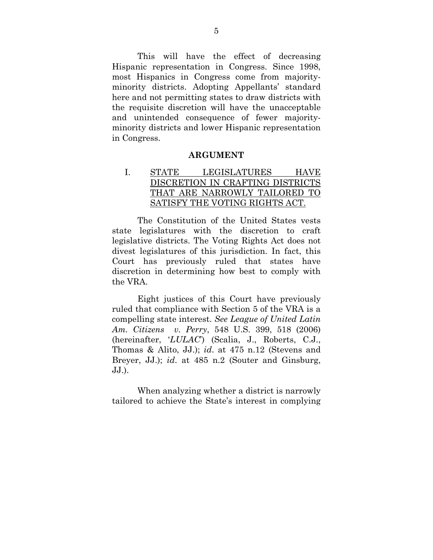This will have the effect of decreasing Hispanic representation in Congress. Since 1998, most Hispanics in Congress come from majorityminority districts. Adopting Appellants' standard here and not permitting states to draw districts with the requisite discretion will have the unacceptable and unintended consequence of fewer majorityminority districts and lower Hispanic representation in Congress.

#### **ARGUMENT**

I. STATE LEGISLATURES HAVE DISCRETION IN CRAFTING DISTRICTS THAT ARE NARROWLY TAILORED TO SATISFY THE VOTING RIGHTS ACT.

The Constitution of the United States vests state legislatures with the discretion to craft legislative districts. The Voting Rights Act does not divest legislatures of this jurisdiction. In fact, this Court has previously ruled that states have discretion in determining how best to comply with the VRA.

Eight justices of this Court have previously ruled that compliance with Section 5 of the VRA is a compelling state interest. *See League of United Latin Am. Citizens v. Perry*, 548 U.S. 399, 518 (2006) (hereinafter, '*LULAC*') (Scalia, J., Roberts, C.J., Thomas & Alito, JJ.); *id*. at 475 n.12 (Stevens and Breyer, JJ.); *id*. at 485 n.2 (Souter and Ginsburg, JJ.).

When analyzing whether a district is narrowly tailored to achieve the State's interest in complying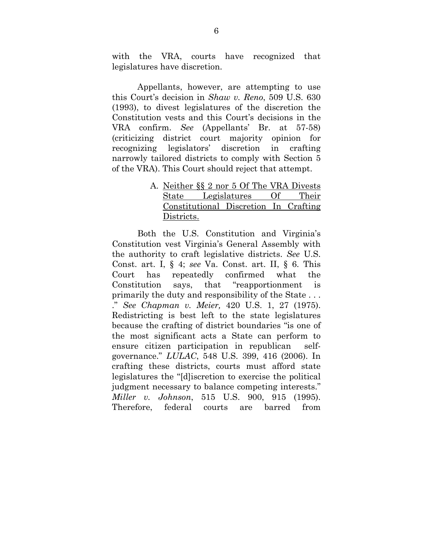with the VRA, courts have recognized that legislatures have discretion.

Appellants, however, are attempting to use this Court's decision in *Shaw v. Reno*, 509 U.S. 630 (1993), to divest legislatures of the discretion the Constitution vests and this Court's decisions in the VRA confirm. *See* (Appellants' Br. at 57-58) (criticizing district court majority opinion for recognizing legislators' discretion in crafting narrowly tailored districts to comply with Section 5 of the VRA). This Court should reject that attempt.

> A. Neither §§ 2 nor 5 Of The VRA Divests State Legislatures Of Their Constitutional Discretion In Crafting Districts.

Both the U.S. Constitution and Virginia's Constitution vest Virginia's General Assembly with the authority to craft legislative districts. *See* U.S. Const. art. I, § 4; *see* Va. Const. art. II, § 6. This Court has repeatedly confirmed what the Constitution says, that "reapportionment is primarily the duty and responsibility of the State . . . ." *See Chapman v. Meier,* 420 U.S. 1, 27 (1975). Redistricting is best left to the state legislatures because the crafting of district boundaries "is one of the most significant acts a State can perform to ensure citizen participation in republican selfgovernance." *LULAC*, 548 U.S. 399, 416 (2006). In crafting these districts, courts must afford state legislatures the "[d]iscretion to exercise the political judgment necessary to balance competing interests." *Miller v. Johnson*, 515 U.S. 900, 915 (1995). Therefore, federal courts are barred from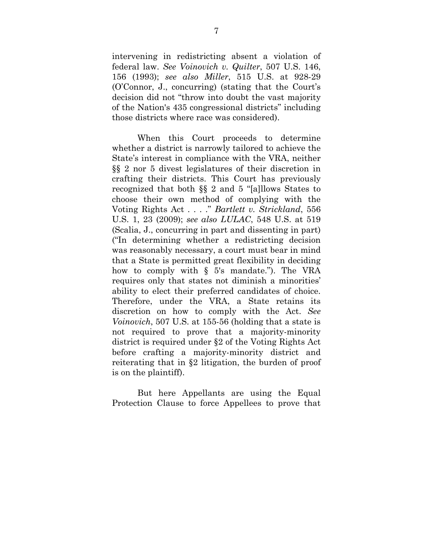intervening in redistricting absent a violation of federal law. *See Voinovich v. Quilter*, 507 U.S. 146, 156 (1993); *see also Miller*, 515 U.S. at 928-29 (O'Connor, J., concurring) (stating that the Court's decision did not "throw into doubt the vast majority of the Nation's 435 congressional districts" including those districts where race was considered).

When this Court proceeds to determine whether a district is narrowly tailored to achieve the State's interest in compliance with the VRA, neither §§ 2 nor 5 divest legislatures of their discretion in crafting their districts. This Court has previously recognized that both §§ 2 and 5 "[a]llows States to choose their own method of complying with the Voting Rights Act . . . ." *Bartlett v. Strickland*, 556 U.S. 1, 23 (2009); *see also LULAC*, 548 U.S. at 519 (Scalia, J., concurring in part and dissenting in part) ("In determining whether a redistricting decision was reasonably necessary, a court must bear in mind that a State is permitted great flexibility in deciding how to comply with § 5's mandate."). The VRA requires only that states not diminish a minorities' ability to elect their preferred candidates of choice. Therefore, under the VRA, a State retains its discretion on how to comply with the Act. *See Voinovich*, 507 U.S. at 155-56 (holding that a state is not required to prove that a majority-minority district is required under §2 of the Voting Rights Act before crafting a majority-minority district and reiterating that in §2 litigation, the burden of proof is on the plaintiff).

 But here Appellants are using the Equal Protection Clause to force Appellees to prove that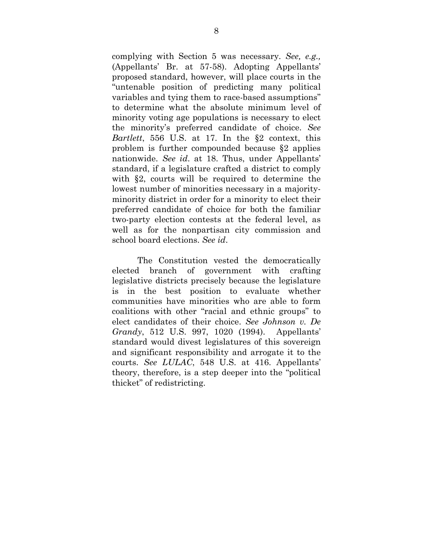complying with Section 5 was necessary. *See, e.g.,* (Appellants' Br. at 57-58). Adopting Appellants' proposed standard, however, will place courts in the "untenable position of predicting many political variables and tying them to race-based assumptions" to determine what the absolute minimum level of minority voting age populations is necessary to elect the minority's preferred candidate of choice. *See Bartlett*, 556 U.S. at 17. In the §2 context, this problem is further compounded because §2 applies nationwide. *See id*. at 18. Thus, under Appellants' standard, if a legislature crafted a district to comply with  $\S2$ , courts will be required to determine the lowest number of minorities necessary in a majorityminority district in order for a minority to elect their preferred candidate of choice for both the familiar two-party election contests at the federal level, as well as for the nonpartisan city commission and school board elections. *See id*.

The Constitution vested the democratically elected branch of government with crafting legislative districts precisely because the legislature is in the best position to evaluate whether communities have minorities who are able to form coalitions with other "racial and ethnic groups" to elect candidates of their choice. *See Johnson v. De Grandy*, 512 U.S. 997, 1020 (1994). Appellants' standard would divest legislatures of this sovereign and significant responsibility and arrogate it to the courts. *See LULAC*, 548 U.S. at 416. Appellants' theory, therefore, is a step deeper into the "political thicket" of redistricting.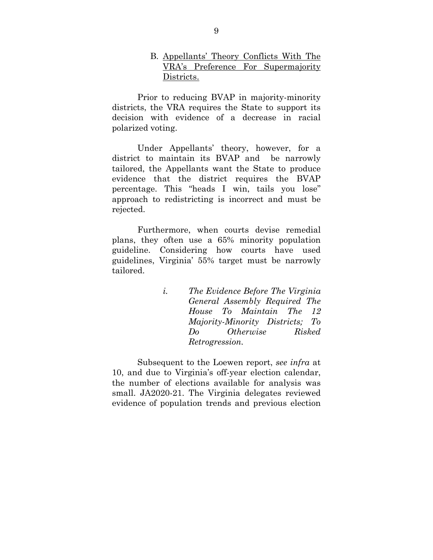#### B. Appellants' Theory Conflicts With The VRA's Preference For Supermajority Districts.

Prior to reducing BVAP in majority-minority districts, the VRA requires the State to support its decision with evidence of a decrease in racial polarized voting.

Under Appellants' theory, however, for a district to maintain its BVAP and be narrowly tailored, the Appellants want the State to produce evidence that the district requires the BVAP percentage. This "heads I win, tails you lose" approach to redistricting is incorrect and must be rejected.

Furthermore, when courts devise remedial plans, they often use a 65% minority population guideline. Considering how courts have used guidelines, Virginia' 55% target must be narrowly tailored.

> *i. The Evidence Before The Virginia General Assembly Required The House To Maintain The 12 Majority-Minority Districts; To Do Otherwise Risked Retrogression.*

Subsequent to the Loewen report, *see infra* at 10, and due to Virginia's off-year election calendar, the number of elections available for analysis was small. JA2020-21. The Virginia delegates reviewed evidence of population trends and previous election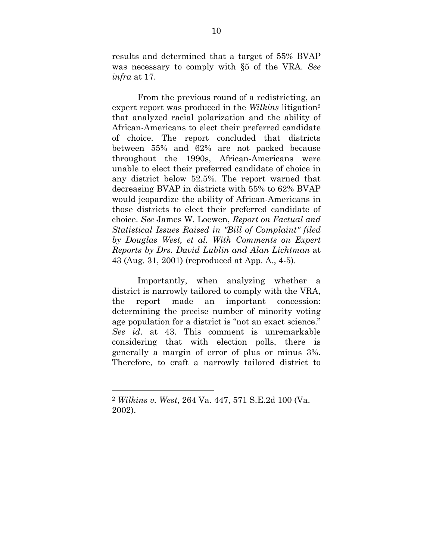results and determined that a target of 55% BVAP was necessary to comply with §5 of the VRA. *See infra* at 17.

From the previous round of a redistricting, an expert report was produced in the *Wilkins* litigation2 that analyzed racial polarization and the ability of African-Americans to elect their preferred candidate of choice. The report concluded that districts between 55% and 62% are not packed because throughout the 1990s, African-Americans were unable to elect their preferred candidate of choice in any district below 52.5%. The report warned that decreasing BVAP in districts with 55% to 62% BVAP would jeopardize the ability of African-Americans in those districts to elect their preferred candidate of choice. *See* James W. Loewen, *Report on Factual and Statistical Issues Raised in "Bill of Complaint" filed by Douglas West, et al. With Comments on Expert Reports by Drs. David Lublin and Alan Lichtman* at 43 (Aug. 31, 2001) (reproduced at App. A., 4-5).

Importantly, when analyzing whether a district is narrowly tailored to comply with the VRA, the report made an important concession: determining the precise number of minority voting age population for a district is "not an exact science." *See id*. at 43. This comment is unremarkable considering that with election polls, there is generally a margin of error of plus or minus 3%. Therefore, to craft a narrowly tailored district to

 

<sup>2</sup> *Wilkins v. West*, 264 Va. 447, 571 S.E.2d 100 (Va. 2002).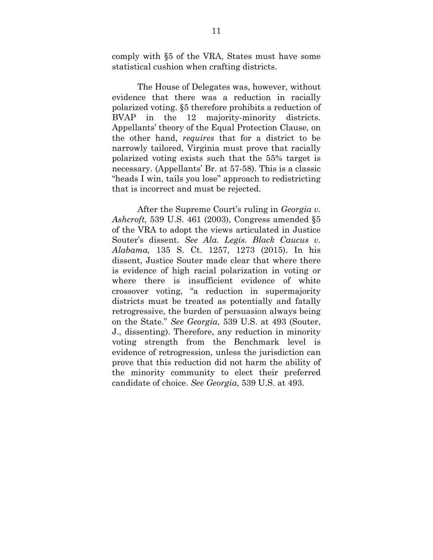comply with §5 of the VRA, States must have some statistical cushion when crafting districts.

The House of Delegates was, however, without evidence that there was a reduction in racially polarized voting. §5 therefore prohibits a reduction of BVAP in the 12 majority-minority districts. Appellants' theory of the Equal Protection Clause, on the other hand, *requires* that for a district to be narrowly tailored, Virginia must prove that racially polarized voting exists such that the 55% target is necessary. (Appellants' Br. at 57-58). This is a classic "heads I win, tails you lose" approach to redistricting that is incorrect and must be rejected.

After the Supreme Court's ruling in *Georgia v. Ashcroft*, 539 U.S. 461 (2003), Congress amended §5 of the VRA to adopt the views articulated in Justice Souter's dissent. *See Ala. Legis. Black Caucus v. Alabama,* 135 S. Ct. 1257, 1273 (2015). In his dissent, Justice Souter made clear that where there is evidence of high racial polarization in voting or where there is insufficient evidence of white crossover voting, "a reduction in supermajority districts must be treated as potentially and fatally retrogressive, the burden of persuasion always being on the State." *See Georgia*, 539 U.S. at 493 (Souter, J., dissenting). Therefore, any reduction in minority voting strength from the Benchmark level is evidence of retrogression, unless the jurisdiction can prove that this reduction did not harm the ability of the minority community to elect their preferred candidate of choice. *See Georgia*, 539 U.S. at 493.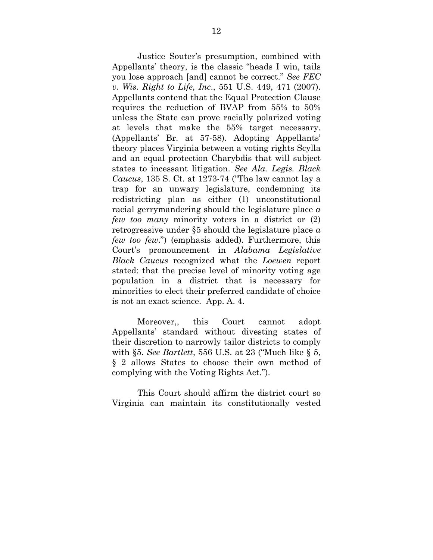Justice Souter's presumption, combined with Appellants' theory, is the classic "heads I win, tails you lose approach [and] cannot be correct." *See FEC v. Wis. Right to Life, Inc*., 551 U.S. 449, 471 (2007). Appellants contend that the Equal Protection Clause requires the reduction of BVAP from 55% to 50% unless the State can prove racially polarized voting at levels that make the 55% target necessary. (Appellants' Br. at 57-58). Adopting Appellants' theory places Virginia between a voting rights Scylla and an equal protection Charybdis that will subject states to incessant litigation. *See Ala. Legis. Black Caucus*, 135 S. Ct. at 1273-74 ("The law cannot lay a trap for an unwary legislature, condemning its redistricting plan as either (1) unconstitutional racial gerrymandering should the legislature place *a few too many* minority voters in a district or (2) retrogressive under §5 should the legislature place *a few too few*.") (emphasis added). Furthermore, this Court's pronouncement in *Alabama Legislative Black Caucus* recognized what the *Loewen* report stated: that the precise level of minority voting age population in a district that is necessary for minorities to elect their preferred candidate of choice is not an exact science. App. A. 4.

Moreover,, this Court cannot adopt Appellants' standard without divesting states of their discretion to narrowly tailor districts to comply with §5. *See Bartlett*, 556 U.S. at 23 ("Much like § 5, § 2 allows States to choose their own method of complying with the Voting Rights Act.").

This Court should affirm the district court so Virginia can maintain its constitutionally vested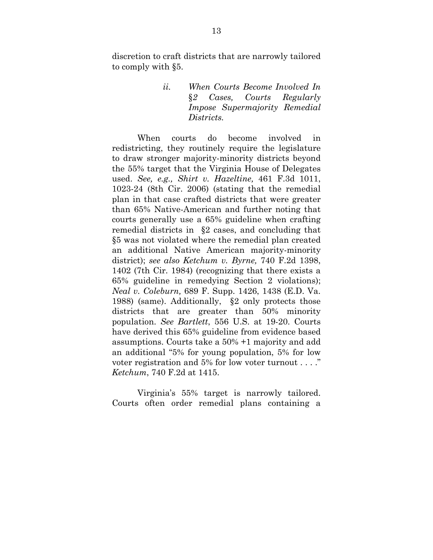discretion to craft districts that are narrowly tailored to comply with §5.

> *ii. When Courts Become Involved In*  §*2 Cases, Courts Regularly Impose Supermajority Remedial Districts.*

 When courts do become involved in redistricting, they routinely require the legislature to draw stronger majority-minority districts beyond the 55% target that the Virginia House of Delegates used. *See, e.g., Shirt v. Hazeltine,* 461 F.3d 1011, 1023-24 (8th Cir. 2006) (stating that the remedial plan in that case crafted districts that were greater than 65% Native-American and further noting that courts generally use a 65% guideline when crafting remedial districts in §2 cases, and concluding that §5 was not violated where the remedial plan created an additional Native American majority-minority district); *see also Ketchum v. Byrne,* 740 F.2d 1398, 1402 (7th Cir. 1984) (recognizing that there exists a 65% guideline in remedying Section 2 violations); *Neal v. Coleburn,* 689 F. Supp. 1426, 1438 (E.D. Va. 1988) (same). Additionally, §2 only protects those districts that are greater than 50% minority population. *See Bartlett*, 556 U.S. at 19-20. Courts have derived this 65% guideline from evidence based assumptions. Courts take a 50% +1 majority and add an additional "5% for young population, 5% for low voter registration and 5% for low voter turnout . . . ." *Ketchum*, 740 F.2d at 1415.

 Virginia's 55% target is narrowly tailored. Courts often order remedial plans containing a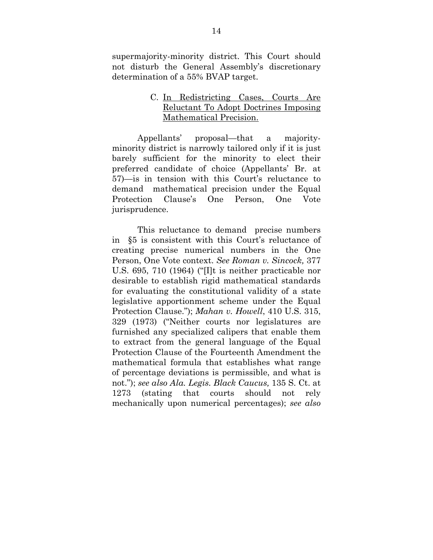supermajority-minority district. This Court should not disturb the General Assembly's discretionary determination of a 55% BVAP target.

#### C. In Redistricting Cases, Courts Are Reluctant To Adopt Doctrines Imposing Mathematical Precision.

Appellants' proposal—that a majorityminority district is narrowly tailored only if it is just barely sufficient for the minority to elect their preferred candidate of choice (Appellants' Br. at 57)—is in tension with this Court's reluctance to demand mathematical precision under the Equal Protection Clause's One Person, One Vote jurisprudence.

This reluctance to demand precise numbers in §5 is consistent with this Court's reluctance of creating precise numerical numbers in the One Person, One Vote context. *See Roman v. Sincock,* 377 U.S. 695, 710 (1964) ("[I]t is neither practicable nor desirable to establish rigid mathematical standards for evaluating the constitutional validity of a state legislative apportionment scheme under the Equal Protection Clause."); *Mahan v. Howell*, 410 U.S. 315, 329 (1973) ("Neither courts nor legislatures are furnished any specialized calipers that enable them to extract from the general language of the Equal Protection Clause of the Fourteenth Amendment the mathematical formula that establishes what range of percentage deviations is permissible, and what is not."); *see also Ala. Legis. Black Caucus,* 135 S. Ct. at 1273 (stating that courts should not rely mechanically upon numerical percentages); *see also*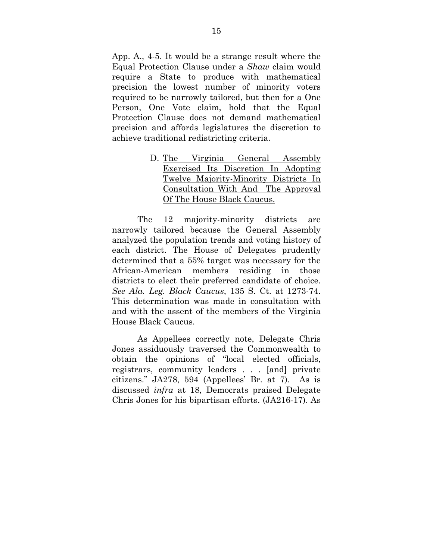App. A., 4-5. It would be a strange result where the Equal Protection Clause under a *Shaw* claim would require a State to produce with mathematical precision the lowest number of minority voters required to be narrowly tailored, but then for a One Person, One Vote claim, hold that the Equal Protection Clause does not demand mathematical precision and affords legislatures the discretion to achieve traditional redistricting criteria.

> D. The Virginia General Assembly Exercised Its Discretion In Adopting Twelve Majority-Minority Districts In Consultation With And The Approval Of The House Black Caucus.

The 12 majority-minority districts are narrowly tailored because the General Assembly analyzed the population trends and voting history of each district. The House of Delegates prudently determined that a 55% target was necessary for the African-American members residing in those districts to elect their preferred candidate of choice. *See Ala. Leg. Black Caucus*, 135 S. Ct. at 1273-74. This determination was made in consultation with and with the assent of the members of the Virginia House Black Caucus.

As Appellees correctly note, Delegate Chris Jones assiduously traversed the Commonwealth to obtain the opinions of "local elected officials, registrars, community leaders . . . [and] private citizens." JA278, 594 (Appellees' Br. at 7). As is discussed *infra* at 18, Democrats praised Delegate Chris Jones for his bipartisan efforts. (JA216-17). As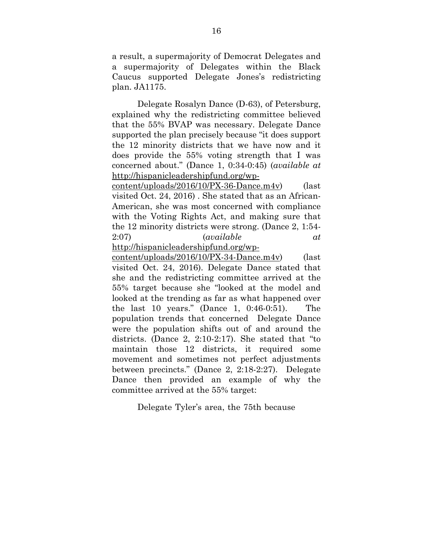a result, a supermajority of Democrat Delegates and a supermajority of Delegates within the Black Caucus supported Delegate Jones's redistricting plan. JA1175.

Delegate Rosalyn Dance (D-63), of Petersburg, explained why the redistricting committee believed that the 55% BVAP was necessary. Delegate Dance supported the plan precisely because "it does support the 12 minority districts that we have now and it does provide the 55% voting strength that I was concerned about." (Dance 1, 0:34-0:45) (*available at*  http://hispanicleadershipfund.org/wp-

content/uploads/2016/10/PX-36-Dance.m4v) (last visited Oct. 24, 2016) . She stated that as an African-American, she was most concerned with compliance with the Voting Rights Act, and making sure that the 12 minority districts were strong. (Dance 2, 1:54- 2:07) (*available at* http://hispanicleadershipfund.org/wp-

content/uploads/2016/10/PX-34-Dance.m4v) (last visited Oct. 24, 2016). Delegate Dance stated that she and the redistricting committee arrived at the 55% target because she "looked at the model and looked at the trending as far as what happened over the last 10 years." (Dance 1, 0:46-0:51). The population trends that concerned Delegate Dance were the population shifts out of and around the districts. (Dance 2, 2:10-2:17). She stated that "to maintain those 12 districts, it required some movement and sometimes not perfect adjustments between precincts." (Dance 2, 2:18-2:27). Delegate Dance then provided an example of why the committee arrived at the 55% target:

Delegate Tyler's area, the 75th because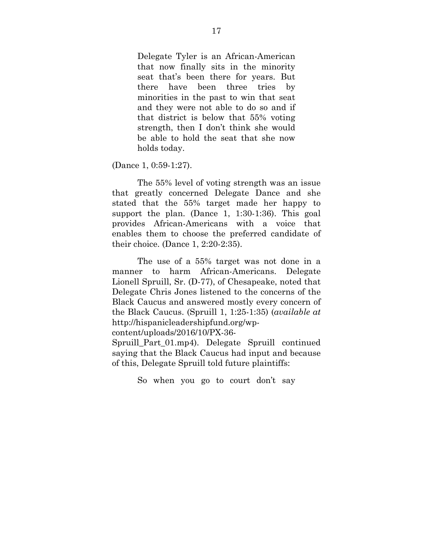Delegate Tyler is an African-American that now finally sits in the minority seat that's been there for years. But there have been three tries by minorities in the past to win that seat and they were not able to do so and if that district is below that 55% voting strength, then I don't think she would be able to hold the seat that she now holds today.

(Dance 1, 0:59-1:27).

The 55% level of voting strength was an issue that greatly concerned Delegate Dance and she stated that the 55% target made her happy to support the plan. (Dance 1, 1:30-1:36). This goal provides African-Americans with a voice that enables them to choose the preferred candidate of their choice. (Dance 1, 2:20-2:35).

The use of a 55% target was not done in a manner to harm African-Americans. Delegate Lionell Spruill, Sr. (D-77), of Chesapeake, noted that Delegate Chris Jones listened to the concerns of the Black Caucus and answered mostly every concern of the Black Caucus. (Spruill 1, 1:25-1:35) (*available at* http://hispanicleadershipfund.org/wp-

content/uploads/2016/10/PX-36-

Spruill Part 01.mp4). Delegate Spruill continued saying that the Black Caucus had input and because of this, Delegate Spruill told future plaintiffs:

So when you go to court don't say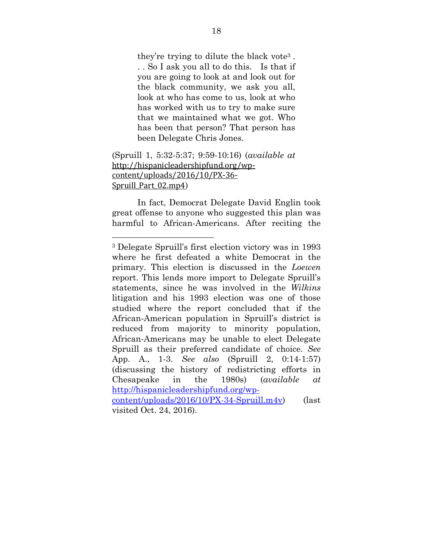they're trying to dilute the black vote3 . . . So I ask you all to do this. Is that if you are going to look at and look out for the black community, we ask you all, look at who has come to us, look at who has worked with us to try to make sure that we maintained what we got. Who has been that person? That person has been Delegate Chris Jones.

#### (Spruill 1, 5:32-5:37; 9:59-10:16) (*available at* http://hispanicleadershipfund.org/wp‐ content/uploads/2016/10/PX‐36‐ Spruill Part 02.mp4)

 

In fact, Democrat Delegate David Englin took great offense to anyone who suggested this plan was harmful to African-Americans. After reciting the

<sup>3</sup> Delegate Spruill's first election victory was in 1993 where he first defeated a white Democrat in the primary. This election is discussed in the *Loewen*  report. This lends more import to Delegate Spruill's statements, since he was involved in the *Wilkins*  litigation and his 1993 election was one of those studied where the report concluded that if the African-American population in Spruill's district is reduced from majority to minority population, African-Americans may be unable to elect Delegate Spruill as their preferred candidate of choice. *See*  App. A., 1-3. *See also* (Spruill 2, 0:14-1:57) (discussing the history of redistricting efforts in Chesapeake in the 1980s) (*available at* http://hispanicleadershipfund.org/wpcontent/uploads/2016/10/PX-34-Spruill.m4v) (last

visited Oct. 24, 2016).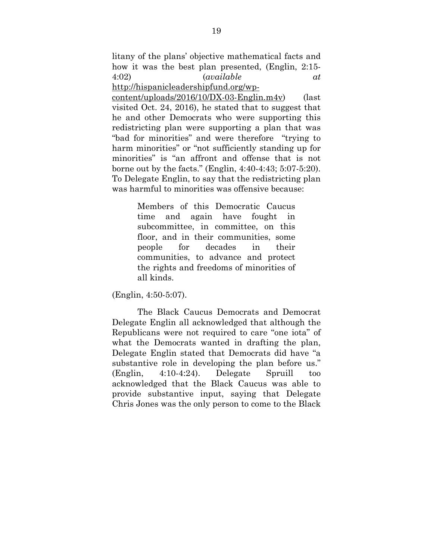litany of the plans' objective mathematical facts and how it was the best plan presented, (Englin, 2:15- 4:02) (*available at*

http://hispanicleadershipfund.org/wp-

content/uploads/2016/10/DX-03-Englin.m4v) (last visited Oct. 24, 2016), he stated that to suggest that he and other Democrats who were supporting this redistricting plan were supporting a plan that was "bad for minorities" and were therefore "trying to harm minorities" or "not sufficiently standing up for minorities" is "an affront and offense that is not borne out by the facts." (Englin, 4:40-4:43; 5:07-5:20). To Delegate Englin, to say that the redistricting plan was harmful to minorities was offensive because:

> Members of this Democratic Caucus time and again have fought in subcommittee, in committee, on this floor, and in their communities, some people for decades in their communities, to advance and protect the rights and freedoms of minorities of all kinds.

(Englin, 4:50-5:07).

The Black Caucus Democrats and Democrat Delegate Englin all acknowledged that although the Republicans were not required to care "one iota" of what the Democrats wanted in drafting the plan. Delegate Englin stated that Democrats did have "a substantive role in developing the plan before us." (Englin, 4:10-4:24). Delegate Spruill too acknowledged that the Black Caucus was able to provide substantive input, saying that Delegate Chris Jones was the only person to come to the Black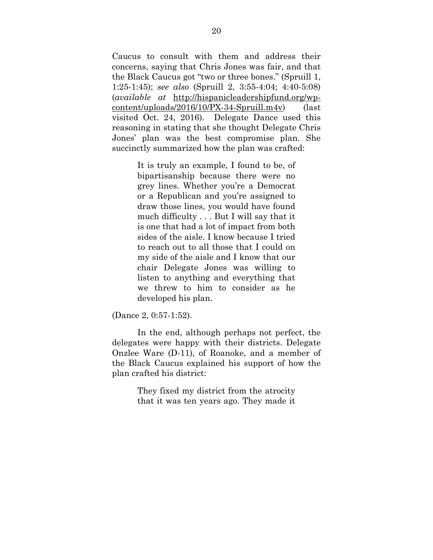Caucus to consult with them and address their concerns, saying that Chris Jones was fair, and that the Black Caucus got "two or three bones." (Spruill 1, 1:25-1:45); *see also* (Spruill 2, 3:55-4:04; 4:40-5:08) (*available at* http://hispanicleadershipfund.org/wpcontent/uploads/2016/10/PX-34-Spruill.m4v) (last visited Oct. 24, 2016). Delegate Dance used this reasoning in stating that she thought Delegate Chris Jones' plan was the best compromise plan. She succinctly summarized how the plan was crafted:

> It is truly an example, I found to be, of bipartisanship because there were no grey lines. Whether you're a Democrat or a Republican and you're assigned to draw those lines, you would have found much difficulty . . . But I will say that it is one that had a lot of impact from both sides of the aisle. I know because I tried to reach out to all those that I could on my side of the aisle and I know that our chair Delegate Jones was willing to listen to anything and everything that we threw to him to consider as he developed his plan.

(Dance 2, 0:57-1:52).

In the end, although perhaps not perfect, the delegates were happy with their districts. Delegate Onzlee Ware (D-11), of Roanoke, and a member of the Black Caucus explained his support of how the plan crafted his district:

> They fixed my district from the atrocity that it was ten years ago. They made it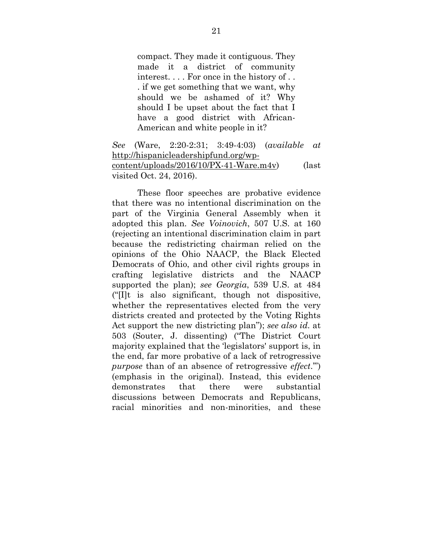compact. They made it contiguous. They made it a district of community interest. . . . For once in the history of . . . if we get something that we want, why should we be ashamed of it? Why should I be upset about the fact that I have a good district with African-American and white people in it?

*See* (Ware, 2:20-2:31; 3:49-4:03) (*available at*  http://hispanicleadershipfund.org/wpcontent/uploads/2016/10/PX-41-Ware.m4v) (last visited Oct. 24, 2016).

These floor speeches are probative evidence that there was no intentional discrimination on the part of the Virginia General Assembly when it adopted this plan. *See Voinovich*, 507 U.S. at 160 (rejecting an intentional discrimination claim in part because the redistricting chairman relied on the opinions of the Ohio NAACP, the Black Elected Democrats of Ohio, and other civil rights groups in crafting legislative districts and the NAACP supported the plan); *see Georgia*, 539 U.S. at 484 ("[I]t is also significant, though not dispositive, whether the representatives elected from the very districts created and protected by the Voting Rights Act support the new districting plan"); *see also id*. at 503 (Souter, J. dissenting) ("The District Court majority explained that the 'legislators' support is, in the end, far more probative of a lack of retrogressive *purpose* than of an absence of retrogressive *effect*.'") (emphasis in the original). Instead, this evidence demonstrates that there were substantial discussions between Democrats and Republicans, racial minorities and non-minorities, and these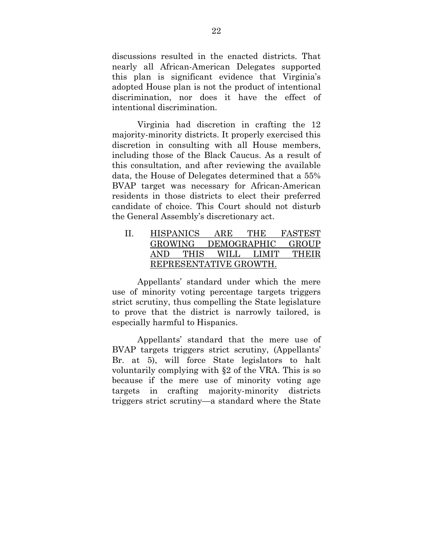discussions resulted in the enacted districts. That nearly all African-American Delegates supported this plan is significant evidence that Virginia's adopted House plan is not the product of intentional discrimination, nor does it have the effect of intentional discrimination.

 Virginia had discretion in crafting the 12 majority-minority districts. It properly exercised this discretion in consulting with all House members, including those of the Black Caucus. As a result of this consultation, and after reviewing the available data, the House of Delegates determined that a 55% BVAP target was necessary for African-American residents in those districts to elect their preferred candidate of choice. This Court should not disturb the General Assembly's discretionary act.

| HISPANICS              |      | ARE  | тне         | FASTEST |
|------------------------|------|------|-------------|---------|
| GROWING                |      |      | DEMOGRAPHIC | GROUP   |
| AND.                   | THIS | WH.L | LIMIT       | THEIR   |
| REPRESENTATIVE GROWTH. |      |      |             |         |

Appellants' standard under which the mere use of minority voting percentage targets triggers strict scrutiny, thus compelling the State legislature to prove that the district is narrowly tailored, is especially harmful to Hispanics.

Appellants' standard that the mere use of BVAP targets triggers strict scrutiny, (Appellants' Br. at 5), will force State legislators to halt voluntarily complying with §2 of the VRA. This is so because if the mere use of minority voting age targets in crafting majority-minority districts triggers strict scrutiny—a standard where the State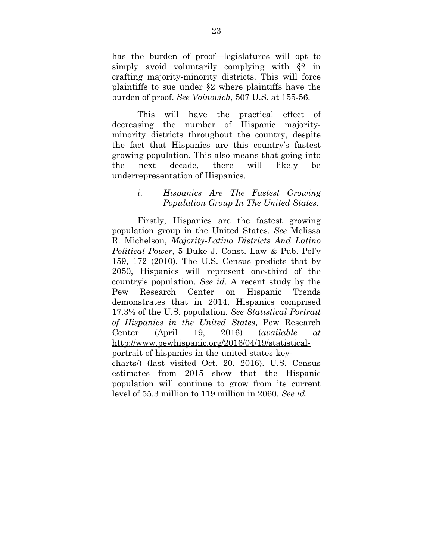has the burden of proof—legislatures will opt to simply avoid voluntarily complying with §2 in crafting majority-minority districts. This will force plaintiffs to sue under §2 where plaintiffs have the burden of proof. *See Voinovich*, 507 U.S. at 155-56.

This will have the practical effect of decreasing the number of Hispanic majorityminority districts throughout the country, despite the fact that Hispanics are this country's fastest growing population. This also means that going into the next decade, there will likely be underrepresentation of Hispanics.

### *i. Hispanics Are The Fastest Growing Population Group In The United States*.

Firstly, Hispanics are the fastest growing population group in the United States. *See* Melissa R. Michelson, *Majority-Latino Districts And Latino Political Power*, 5 Duke J. Const. Law & Pub. Pol'y 159, 172 (2010). The U.S. Census predicts that by 2050, Hispanics will represent one-third of the country's population. *See id*. A recent study by the Pew Research Center on Hispanic Trends demonstrates that in 2014, Hispanics comprised 17.3% of the U.S. population. *See Statistical Portrait of Hispanics in the United States*, Pew Research Center (April 19, 2016) (*available at* http://www.pewhispanic.org/2016/04/19/statisticalportrait-of-hispanics-in-the-united-states-keycharts/) (last visited Oct. 20, 2016). U.S. Census estimates from 2015 show that the Hispanic population will continue to grow from its current level of 55.3 million to 119 million in 2060. *See id*.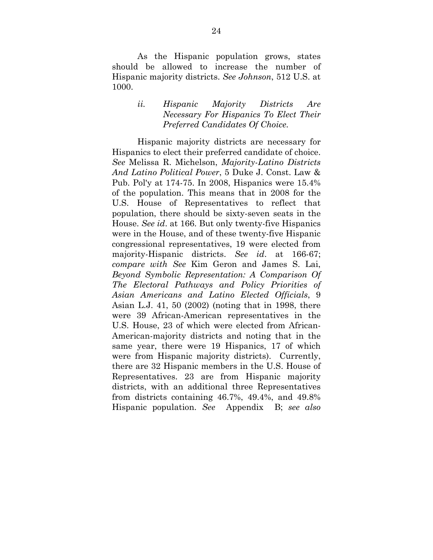As the Hispanic population grows, states should be allowed to increase the number of Hispanic majority districts. *See Johnson*, 512 U.S. at 1000.

#### *ii. Hispanic Majority Districts Are Necessary For Hispanics To Elect Their Preferred Candidates Of Choice.*

Hispanic majority districts are necessary for Hispanics to elect their preferred candidate of choice. *See* Melissa R. Michelson, *Majority-Latino Districts And Latino Political Power*, 5 Duke J. Const. Law & Pub. Pol'y at 174-75. In 2008, Hispanics were 15.4% of the population. This means that in 2008 for the U.S. House of Representatives to reflect that population, there should be sixty-seven seats in the House. *See id*. at 166. But only twenty-five Hispanics were in the House, and of these twenty-five Hispanic congressional representatives, 19 were elected from majority-Hispanic districts. *See id*. at 166-67; *compare with See* Kim Geron and James S. Lai, *Beyond Symbolic Representation: A Comparison Of The Electoral Pathways and Policy Priorities of Asian Americans and Latino Elected Officials*, 9 Asian L.J. 41, 50 (2002) (noting that in 1998, there were 39 African-American representatives in the U.S. House, 23 of which were elected from African-American-majority districts and noting that in the same year, there were 19 Hispanics, 17 of which were from Hispanic majority districts). Currently, there are 32 Hispanic members in the U.S. House of Representatives. 23 are from Hispanic majority districts, with an additional three Representatives from districts containing 46.7%, 49.4%, and 49.8% Hispanic population. *See* Appendix B; *see also*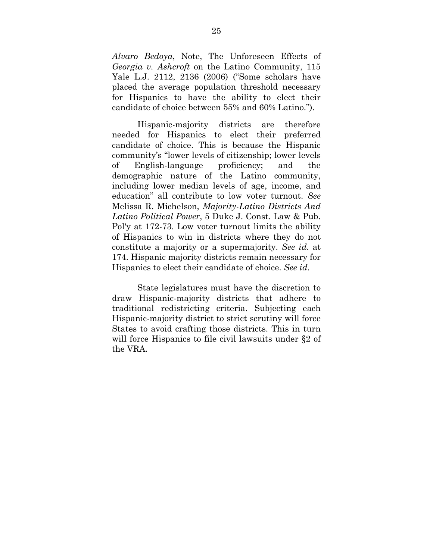*Alvaro Bedoya*, Note, The Unforeseen Effects of *Georgia v. Ashcroft* on the Latino Community, 115 Yale L.J. 2112, 2136 (2006) ("Some scholars have placed the average population threshold necessary for Hispanics to have the ability to elect their candidate of choice between 55% and 60% Latino.").

Hispanic-majority districts are therefore needed for Hispanics to elect their preferred candidate of choice. This is because the Hispanic community's "lower levels of citizenship; lower levels of English-language proficiency; and the demographic nature of the Latino community, including lower median levels of age, income, and education" all contribute to low voter turnout. *See*  Melissa R. Michelson, *Majority-Latino Districts And Latino Political Power*, 5 Duke J. Const. Law & Pub. Pol'y at 172-73. Low voter turnout limits the ability of Hispanics to win in districts where they do not constitute a majority or a supermajority. *See id*. at 174. Hispanic majority districts remain necessary for Hispanics to elect their candidate of choice. *See id*.

State legislatures must have the discretion to draw Hispanic-majority districts that adhere to traditional redistricting criteria. Subjecting each Hispanic-majority district to strict scrutiny will force States to avoid crafting those districts. This in turn will force Hispanics to file civil lawsuits under §2 of the VRA.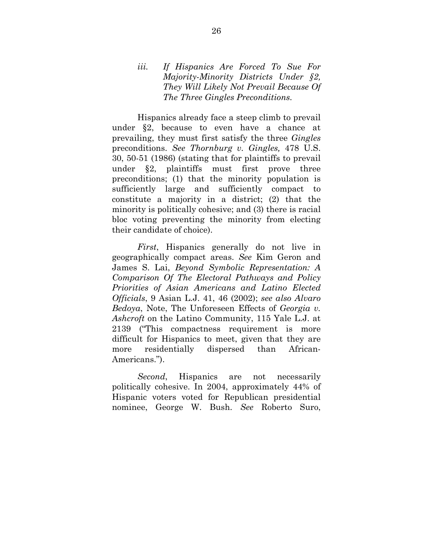#### *iii. If Hispanics Are Forced To Sue For Majority-Minority Districts Under §2, They Will Likely Not Prevail Because Of The Three Gingles Preconditions.*

Hispanics already face a steep climb to prevail under §2, because to even have a chance at prevailing, they must first satisfy the three *Gingles* preconditions. *See Thornburg v. Gingles,* 478 U.S. 30, 50-51 (1986) (stating that for plaintiffs to prevail under §2, plaintiffs must first prove three preconditions; (1) that the minority population is sufficiently large and sufficiently compact to constitute a majority in a district; (2) that the minority is politically cohesive; and (3) there is racial bloc voting preventing the minority from electing their candidate of choice).

*First*, Hispanics generally do not live in geographically compact areas. *See* Kim Geron and James S. Lai, *Beyond Symbolic Representation: A Comparison Of The Electoral Pathways and Policy Priorities of Asian Americans and Latino Elected Officials*, 9 Asian L.J. 41, 46 (2002); *see also Alvaro Bedoya*, Note, The Unforeseen Effects of *Georgia v. Ashcroft* on the Latino Community, 115 Yale L.J. at 2139 ("This compactness requirement is more difficult for Hispanics to meet, given that they are more residentially dispersed than African-Americans.").

*Second*, Hispanics are not necessarily politically cohesive. In 2004, approximately 44% of Hispanic voters voted for Republican presidential nominee, George W. Bush. *See* Roberto Suro,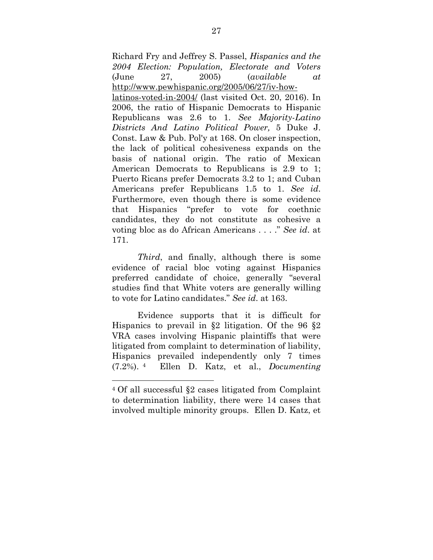Richard Fry and Jeffrey S. Passel, *Hispanics and the 2004 Election: Population, Electorate and Voters* (June 27, 2005) (*available at*  http://www.pewhispanic.org/2005/06/27/iv-howlatinos-voted-in-2004/ (last visited Oct. 20, 2016). In 2006, the ratio of Hispanic Democrats to Hispanic Republicans was 2.6 to 1. *See Majority-Latino Districts And Latino Political Power,* 5 Duke J. Const. Law & Pub. Pol'y at 168. On closer inspection, the lack of political cohesiveness expands on the basis of national origin. The ratio of Mexican American Democrats to Republicans is 2.9 to 1; Puerto Ricans prefer Democrats 3.2 to 1; and Cuban Americans prefer Republicans 1.5 to 1. *See id*. Furthermore, even though there is some evidence that Hispanics "prefer to vote for coethnic candidates, they do not constitute as cohesive a voting bloc as do African Americans . . . ." *See id*. at 171.

*Third*, and finally, although there is some evidence of racial bloc voting against Hispanics preferred candidate of choice, generally "several studies find that White voters are generally willing to vote for Latino candidates." *See id*. at 163.

Evidence supports that it is difficult for Hispanics to prevail in §2 litigation. Of the 96 §2 VRA cases involving Hispanic plaintiffs that were litigated from complaint to determination of liability, Hispanics prevailed independently only 7 times (7.2%). 4 Ellen D. Katz, et al., *Documenting* 

 

<sup>4</sup> Of all successful §2 cases litigated from Complaint to determination liability, there were 14 cases that involved multiple minority groups. Ellen D. Katz, et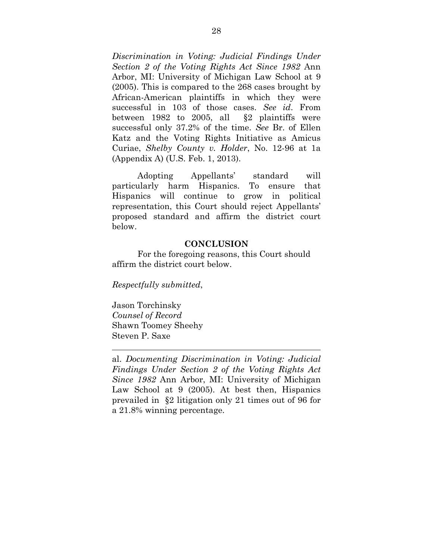*Discrimination in Voting: Judicial Findings Under Section 2 of the Voting Rights Act Since 1982* Ann Arbor, MI: University of Michigan Law School at 9 (2005). This is compared to the 268 cases brought by African-American plaintiffs in which they were successful in 103 of those cases. *See id*. From between 1982 to 2005, all §2 plaintiffs were successful only 37.2% of the time. *See* Br. of Ellen Katz and the Voting Rights Initiative as Amicus Curiae, *Shelby County v. Holder*, No. 12-96 at 1a (Appendix A) (U.S. Feb. 1, 2013).

Adopting Appellants' standard will particularly harm Hispanics. To ensure that Hispanics will continue to grow in political representation, this Court should reject Appellants' proposed standard and affirm the district court below.

#### **CONCLUSION**

For the foregoing reasons, this Court should affirm the district court below.

*Respectfully submitted*,

Jason Torchinsky *Counsel of Record*  Shawn Toomey Sheehy Steven P. Saxe

al. *Documenting Discrimination in Voting: Judicial Findings Under Section 2 of the Voting Rights Act Since 1982* Ann Arbor, MI: University of Michigan Law School at 9 (2005). At best then, Hispanics prevailed in §2 litigation only 21 times out of 96 for a 21.8% winning percentage.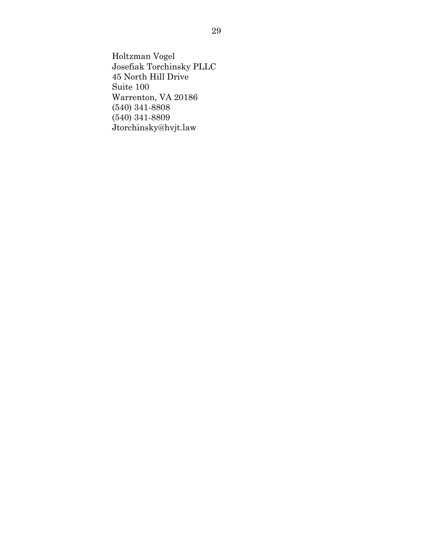Holtzman Vogel Josefiak Torchinsky PLLC 45 North Hill Drive Suite 100 Warrenton, VA 20186 (540) 341-8808 (540) 341-8809 Jtorchinsky@hvjt.law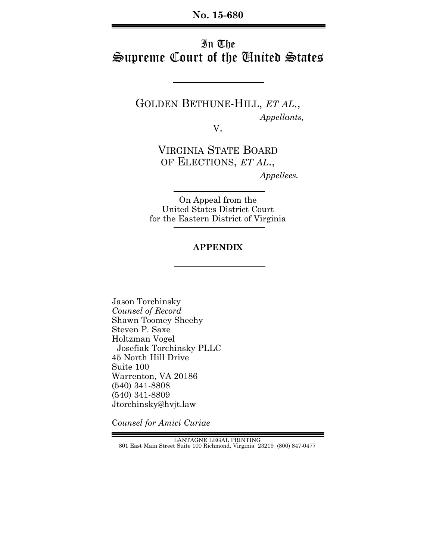# In The Supreme Court of the United States

GOLDEN BETHUNE-HILL, *ET AL*.,  *Appellants,*

V.

VIRGINIA STATE BOARD OF ELECTIONS, *ET AL*.,  *Appellees.*

On Appeal from the United States District Court for the Eastern District of Virginia

## **APPENDIX**

Jason Torchinsky *Counsel of Record* Shawn Toomey Sheehy Steven P. Saxe Holtzman Vogel Josefiak Torchinsky PLLC 45 North Hill Drive Suite 100 Warrenton, VA 20186 (540) 341-8808 (540) 341-8809 Jtorchinsky@hvjt.law

C*ounsel for Amici Curiae*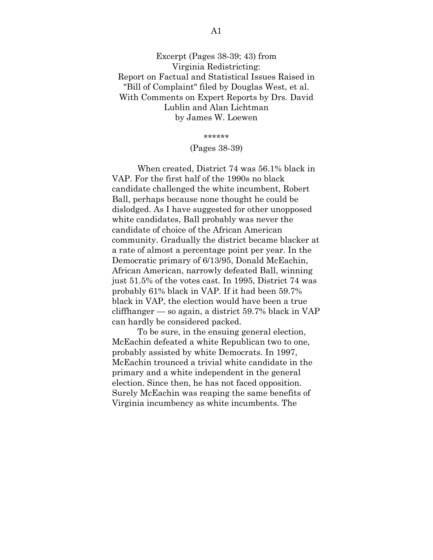Excerpt (Pages 38-39; 43) from Virginia Redistricting: Report on Factual and Statistical Issues Raised in "Bill of Complaint" filed by Douglas West, et al. With Comments on Expert Reports by Drs. David Lublin and Alan Lichtman by James W. Loewen

\*\*\*\*\*\*

#### (Pages 38-39)

 When created, District 74 was 56.1% black in VAP. For the first half of the 1990s no black candidate challenged the white incumbent, Robert Ball, perhaps because none thought he could be dislodged. As I have suggested for other unopposed white candidates, Ball probably was never the candidate of choice of the African American community. Gradually the district became blacker at a rate of almost a percentage point per year. In the Democratic primary of 6/13/95, Donald McEachin, African American, narrowly defeated Ball, winning just 51.5% of the votes cast. In 1995, District 74 was probably 61% black in VAP. If it had been 59.7% black in VAP, the election would have been a true cliffhanger — so again, a district 59.7% black in VAP can hardly be considered packed.

 To be sure, in the ensuing general election, McEachin defeated a white Republican two to one, probably assisted by white Democrats. In 1997, McEachin trounced a trivial white candidate in the primary and a white independent in the general election. Since then, he has not faced opposition. Surely McEachin was reaping the same benefits of Virginia incumbency as white incumbents. The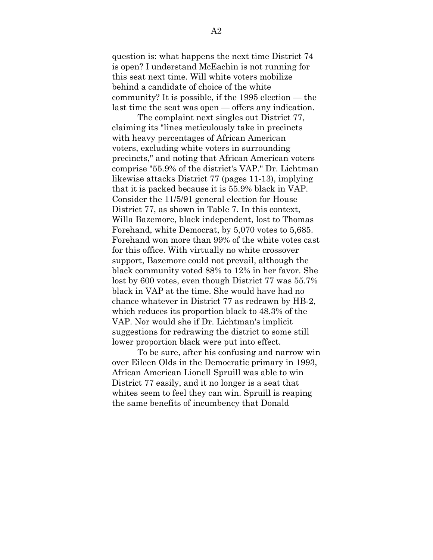question is: what happens the next time District 74 is open? I understand McEachin is not running for this seat next time. Will white voters mobilize behind a candidate of choice of the white community? It is possible, if the 1995 election — the last time the seat was open — offers any indication.

 The complaint next singles out District 77, claiming its "lines meticulously take in precincts with heavy percentages of African American voters, excluding white voters in surrounding precincts," and noting that African American voters comprise "55.9% of the district's VAP." Dr. Lichtman likewise attacks District 77 (pages 11-13), implying that it is packed because it is 55.9% black in VAP. Consider the 11/5/91 general election for House District 77, as shown in Table 7. In this context, Willa Bazemore, black independent, lost to Thomas Forehand, white Democrat, by 5,070 votes to 5,685. Forehand won more than 99% of the white votes cast for this office. With virtually no white crossover support, Bazemore could not prevail, although the black community voted 88% to 12% in her favor. She lost by 600 votes, even though District 77 was 55.7% black in VAP at the time. She would have had no chance whatever in District 77 as redrawn by HB-2, which reduces its proportion black to 48.3% of the VAP. Nor would she if Dr. Lichtman's implicit suggestions for redrawing the district to some still lower proportion black were put into effect.

 To be sure, after his confusing and narrow win over Eileen Olds in the Democratic primary in 1993, African American Lionell Spruill was able to win District 77 easily, and it no longer is a seat that whites seem to feel they can win. Spruill is reaping the same benefits of incumbency that Donald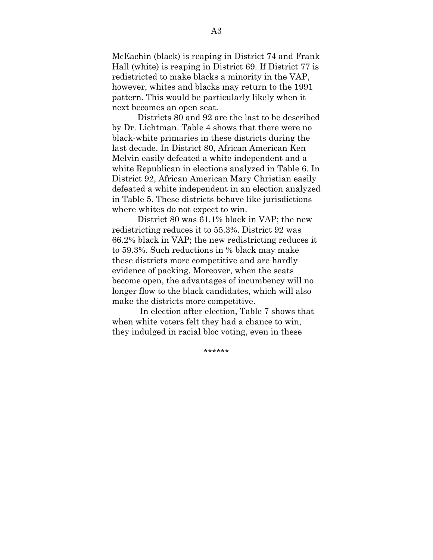McEachin (black) is reaping in District 74 and Frank Hall (white) is reaping in District 69. If District 77 is redistricted to make blacks a minority in the VAP, however, whites and blacks may return to the 1991 pattern. This would be particularly likely when it next becomes an open seat.

 Districts 80 and 92 are the last to be described by Dr. Lichtman. Table 4 shows that there were no black-white primaries in these districts during the last decade. In District 80, African American Ken Melvin easily defeated a white independent and a white Republican in elections analyzed in Table 6. In District 92, African American Mary Christian easily defeated a white independent in an election analyzed in Table 5. These districts behave like jurisdictions where whites do not expect to win.

 District 80 was 61.1% black in VAP; the new redistricting reduces it to 55.3%. District 92 was 66.2% black in VAP; the new redistricting reduces it to 59.3%. Such reductions in % black may make these districts more competitive and are hardly evidence of packing. Moreover, when the seats become open, the advantages of incumbency will no longer flow to the black candidates, which will also make the districts more competitive.

 In election after election, Table 7 shows that when white voters felt they had a chance to win, they indulged in racial bloc voting, even in these

A3

\*\*\*\*\*\*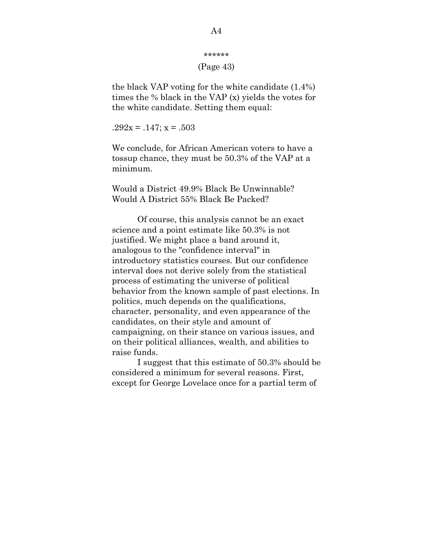```
****** 
(Page 43)
```
the black VAP voting for the white candidate (1.4%) times the % black in the VAP (x) yields the votes for the white candidate. Setting them equal:

 $.292x = .147$ ;  $x = .503$ 

We conclude, for African American voters to have a tossup chance, they must be 50.3% of the VAP at a minimum.

Would a District 49.9% Black Be Unwinnable? Would A District 55% Black Be Packed?

 Of course, this analysis cannot be an exact science and a point estimate like 50.3% is not justified. We might place a band around it, analogous to the "confidence interval" in introductory statistics courses. But our confidence interval does not derive solely from the statistical process of estimating the universe of political behavior from the known sample of past elections. In politics, much depends on the qualifications, character, personality, and even appearance of the candidates, on their style and amount of campaigning, on their stance on various issues, and on their political alliances, wealth, and abilities to raise funds.

 I suggest that this estimate of 50.3% should be considered a minimum for several reasons. First, except for George Lovelace once for a partial term of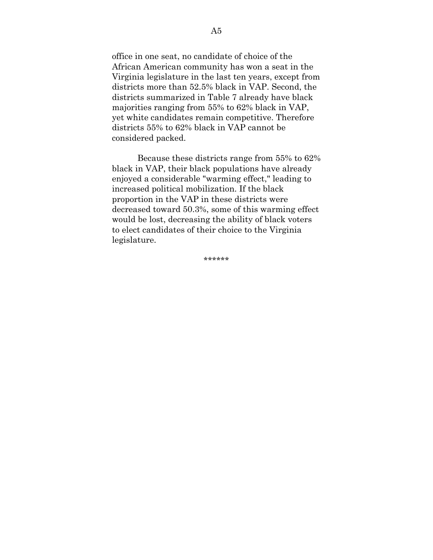office in one seat, no candidate of choice of the African American community has won a seat in the Virginia legislature in the last ten years, except from districts more than 52.5% black in VAP. Second, the districts summarized in Table 7 already have black majorities ranging from 55% to 62% black in VAP, yet white candidates remain competitive. Therefore districts 55% to 62% black in VAP cannot be considered packed.

 Because these districts range from 55% to 62% black in VAP, their black populations have already enjoyed a considerable "warming effect," leading to increased political mobilization. If the black proportion in the VAP in these districts were decreased toward 50.3%, some of this warming effect would be lost, decreasing the ability of black voters to elect candidates of their choice to the Virginia legislature.

\*\*\*\*\*\*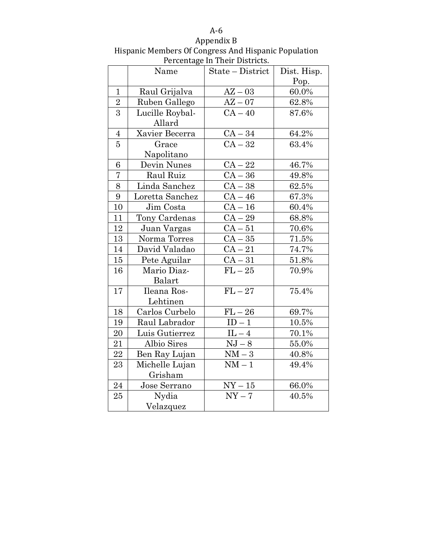| .                                                    |
|------------------------------------------------------|
| Appendix B                                           |
| Hispanic Members Of Congress And Hispanic Population |
| Percentage In Their Districts.                       |

|                 | Name            | referrage in Their Biberices.<br>State - District | Dist. Hisp.<br>Pop. |
|-----------------|-----------------|---------------------------------------------------|---------------------|
| $\mathbf{1}$    | Raul Grijalva   | $AZ - 03$                                         | 60.0%               |
| $\overline{2}$  | Ruben Gallego   | $AZ - 07$                                         | 62.8%               |
| $\overline{3}$  | Lucille Roybal- | $CA-40$                                           | 87.6%               |
|                 | Allard          |                                                   |                     |
| $\overline{4}$  | Xavier Becerra  | $CA-34$                                           | 64.2%               |
| $\overline{5}$  | Grace           | $CA-32$                                           | 63.4%               |
|                 | Napolitano      |                                                   |                     |
| 6               | Devin Nunes     | $CA-22$                                           | 46.7%               |
| $\overline{7}$  | Raul Ruiz       | $CA-36$                                           | 49.8%               |
| 8               | Linda Sanchez   | $CA-38$                                           | 62.5%               |
| $9\phantom{.0}$ | Loretta Sanchez | $CA-46$                                           | 67.3%               |
| 10              | Jim Costa       | $CA-16$                                           | 60.4%               |
| 11              | Tony Cardenas   | $CA-29$                                           | 68.8%               |
| 12              | Juan Vargas     | $CA-51$                                           | 70.6%               |
| 13              | Norma Torres    | $CA-35$                                           | 71.5%               |
| $14\,$          | David Valadao   | $CA-21$                                           | 74.7%               |
| 15              | Pete Aguilar    | $CA-31$                                           | 51.8%               |
| 16              | Mario Diaz-     | $FL-25$                                           | 70.9%               |
|                 | Balart          |                                                   |                     |
| 17              | Ileana Ros-     | $\overline{FL-27}$                                | 75.4%               |
|                 | Lehtinen        |                                                   |                     |
| 18              | Carlos Curbelo  | $FL-26$                                           | 69.7%               |
| 19              | Raul Labrador   | $ID - 1$                                          | 10.5%               |
| 20              | Luis Gutierrez  | $\rm IL-4$                                        | 70.1%               |
| 21              | Albio Sires     | $NJ - 8$                                          | 55.0%               |
| 22              | Ben Ray Lujan   | $NM-3$                                            | 40.8%               |
| 23              | Michelle Lujan  | $NM-1$                                            | 49.4%               |
|                 | Grisham         |                                                   |                     |
| $\sqrt{24}$     | Jose Serrano    | $\mathrm{NY}-15$                                  | 66.0%               |
| 25              | Nydia           | $NY - 7$                                          | 40.5%               |
|                 | Velazquez       |                                                   |                     |

## A‐6